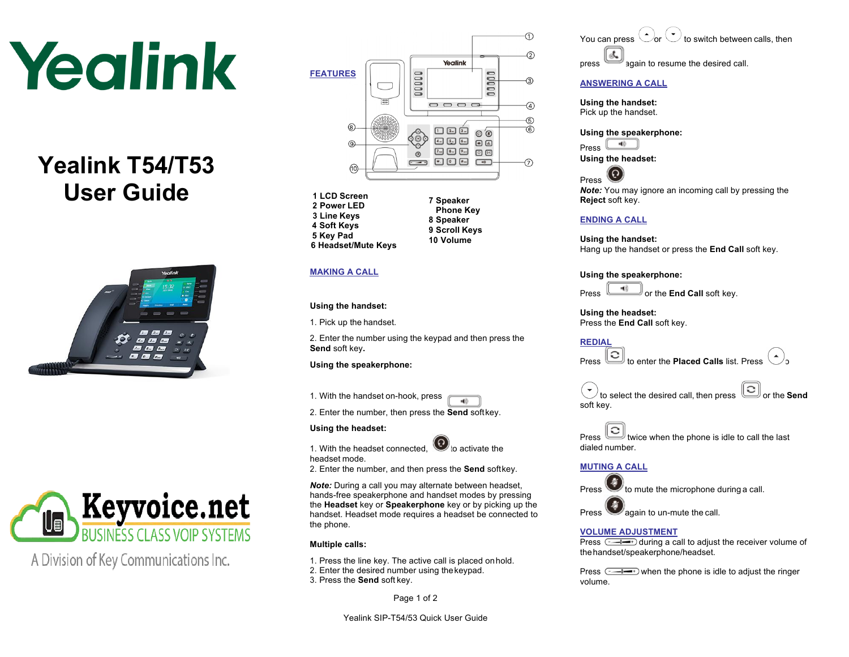# Yealink

# **Yealink T54/T53 User Guide**





A Division of Key Communications Inc.



- **1 LCD Screen 2 Power LED 3 Line Keys 4 Soft Keys 5 Key Pad 6 Headset/Mute Keys**
- **7 Speaker Phone Key 8 Speaker 9 Scroll Keys 10 Volume**

# **MAKING A CALL**

# **Using the handset:**

1. Pick up the handset.

2. Enter the number using the keypad and then press the **Send** soft key**.**

# **Using the speakerphone:**

1. With the handset on-hook, press 40.

2. Enter the number, then press the **Send** softkey.

# **Using the headset:**

1. With the headset connected,  $\bigcirc$  to activate the headset mode.

2. Enter the number, and then press the **Send** softkey.

*Note:* During a call you may alternate between headset, hands-free speakerphone and handset modes by pressing the **Headset** key or **Speakerphone** key or by picking up the handset. Headset mode requires a headset be connected to the phone.

# **Multiple calls:**

1. Press the line key. The active call is placed onhold. 2. Enter the desired number using thekeypad.

3. Press the **Send** soft key.

Page 1 of 2

You can press  $\bigcirc$  or  $\bigcirc$  to switch between calls, then ok. press 3qain to resume the desired call.

# **ANSWERING A CALL**

**Using the handset:** Pick up the handset.

#### **Using the speakerphone:**

-49 Press

**Using the headset:**



*Note:* You may ignore an incoming call by pressing the **Reject** soft key.

# **ENDING A CALL**

**Using the handset:** Hang up the handset or press the **End Call** soft key.

**Using the speakerphone:**

**Press OF THE LIGHT** or the **End Call** soft key.

**Using the headset:** Press the **End Call** soft key.

**REDIAL**

Press  $\boxed{\textcircled{c}}$  to enter the **Placed Calls** list. Press

 $\theta$  to select the desired call, then press  $\text{col}$  or the **Send** soft key.

 $\text{Press} \left[ \bigcirc \right]$  twice when the phone is idle to call the last dialed number.

# **MUTING A CALL**

Press  $\bigcup$  to mute the microphone during a call.

Press again to un-mute the call.

# **VOLUME ADJUSTMENT**

Press  $\sqrt{ }$  during a call to adjust the receiver volume of thehandset/speakerphone/headset.

Press  $\xrightarrow{r \to 0}$  when the phone is idle to adjust the ringer volume.